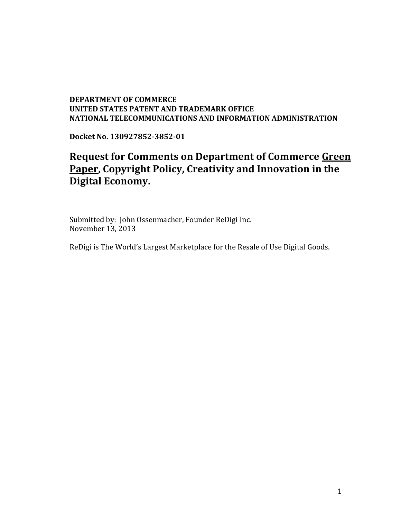## **DEPARTMENT OF COMMERCE UNITED STATES PATENT AND TRADEMARK OFFICE NATIONAL TELECOMMUNICATIONS AND INFORMATION ADMINISTRATION**

**Docket No. 130927852-3852-01**

## **Request for Comments on Department of Commerce Green Paper, Copyright Policy, Creativity and Innovation in the Digital Economy.**

Submitted by: John Ossenmacher, Founder ReDigi Inc. November 13, 2013

ReDigi is The World's Largest Marketplace for the Resale of Use Digital Goods.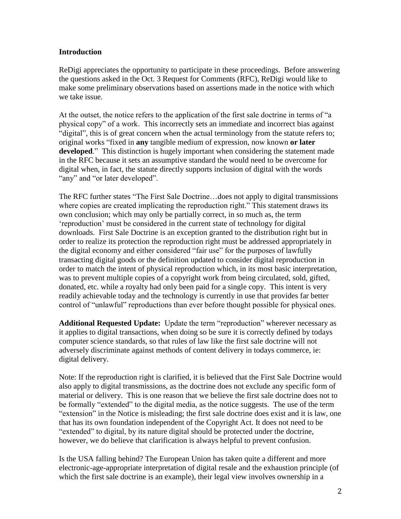## **Introduction**

ReDigi appreciates the opportunity to participate in these proceedings. Before answering the questions asked in the Oct. 3 Request for Comments (RFC), ReDigi would like to make some preliminary observations based on assertions made in the notice with which we take issue.

At the outset, the notice refers to the application of the first sale doctrine in terms of "a physical copy" of a work. This incorrectly sets an immediate and incorrect bias against "digital", this is of great concern when the actual terminology from the statute refers to; original works "fixed in **any** tangible medium of expression, now known **or later developed**." This distinction is hugely important when considering the statement made in the RFC because it sets an assumptive standard the would need to be overcome for digital when, in fact, the statute directly supports inclusion of digital with the words "any" and "or later developed".

The RFC further states "The First Sale Doctrine…does not apply to digital transmissions where copies are created implicating the reproduction right." This statement draws its own conclusion; which may only be partially correct, in so much as, the term 'reproduction' must be considered in the current state of technology for digital downloads. First Sale Doctrine is an exception granted to the distribution right but in order to realize its protection the reproduction right must be addressed appropriately in the digital economy and either considered "fair use" for the purposes of lawfully transacting digital goods or the definition updated to consider digital reproduction in order to match the intent of physical reproduction which, in its most basic interpretation, was to prevent multiple copies of a copyright work from being circulated, sold, gifted, donated, etc. while a royalty had only been paid for a single copy. This intent is very readily achievable today and the technology is currently in use that provides far better control of "unlawful" reproductions than ever before thought possible for physical ones.

**Additional Requested Update:** Update the term "reproduction" wherever necessary as it applies to digital transactions, when doing so be sure it is correctly defined by todays computer science standards, so that rules of law like the first sale doctrine will not adversely discriminate against methods of content delivery in todays commerce, ie: digital delivery.

Note: If the reproduction right is clarified, it is believed that the First Sale Doctrine would also apply to digital transmissions, as the doctrine does not exclude any specific form of material or delivery. This is one reason that we believe the first sale doctrine does not to be formally "extended" to the digital media, as the notice suggests. The use of the term "extension" in the Notice is misleading; the first sale doctrine does exist and it is law, one that has its own foundation independent of the Copyright Act. It does not need to be "extended" to digital, by its nature digital should be protected under the doctrine, however, we do believe that clarification is always helpful to prevent confusion.

Is the USA falling behind? The European Union has taken quite a different and more electronic-age-appropriate interpretation of digital resale and the exhaustion principle (of which the first sale doctrine is an example), their legal view involves ownership in a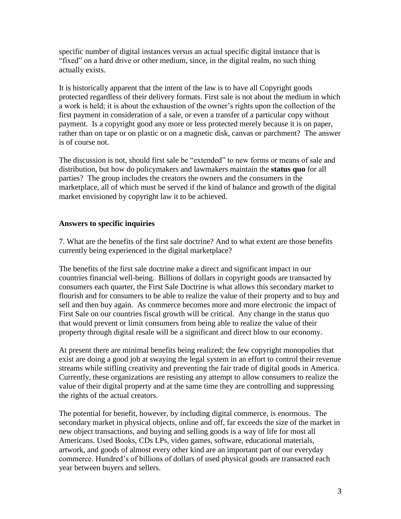specific number of digital instances versus an actual specific digital instance that is "fixed" on a hard drive or other medium, since, in the digital realm, no such thing actually exists.

It is historically apparent that the intent of the law is to have all Copyright goods protected regardless of their delivery formats. First sale is not about the medium in which a work is held; it is about the exhaustion of the owner's rights upon the collection of the first payment in consideration of a sale, or even a transfer of a particular copy without payment. Is a copyright good any more or less protected merely because it is on paper, rather than on tape or on plastic or on a magnetic disk, canvas or parchment? The answer is of course not.

The discussion is not, should first sale be "extended" to new forms or means of sale and distribution, but how do policymakers and lawmakers maintain the **status quo** for all parties? The group includes the creators the owners and the consumers in the marketplace, all of which must be served if the kind of balance and growth of the digital market envisioned by copyright law it to be achieved.

## **Answers to specific inquiries**

7. What are the benefits of the first sale doctrine? And to what extent are those benefits currently being experienced in the digital marketplace?

The benefits of the first sale doctrine make a direct and significant impact in our countries financial well-being. Billions of dollars in copyright goods are transacted by consumers each quarter, the First Sale Doctrine is what allows this secondary market to flourish and for consumers to be able to realize the value of their property and to buy and sell and then buy again. As commerce becomes more and more electronic the impact of First Sale on our countries fiscal growth will be critical. Any change in the status quo that would prevent or limit consumers from being able to realize the value of their property through digital resale will be a significant and direct blow to our economy.

At present there are minimal benefits being realized; the few copyright monopolies that exist are doing a good job at swaying the legal system in an effort to control their revenue streams while stifling creativity and preventing the fair trade of digital goods in America. Currently, these organizations are resisting any attempt to allow consumers to realize the value of their digital property and at the same time they are controlling and suppressing the rights of the actual creators.

The potential for benefit, however, by including digital commerce, is enormous. The secondary market in physical objects, online and off, far exceeds the size of the market in new object transactions, and buying and selling goods is a way of life for most all Americans. Used Books, CDs LPs, video games, software, educational materials, artwork, and goods of almost every other kind are an important part of our everyday commerce. Hundred's of billions of dollars of used physical goods are transacted each year between buyers and sellers.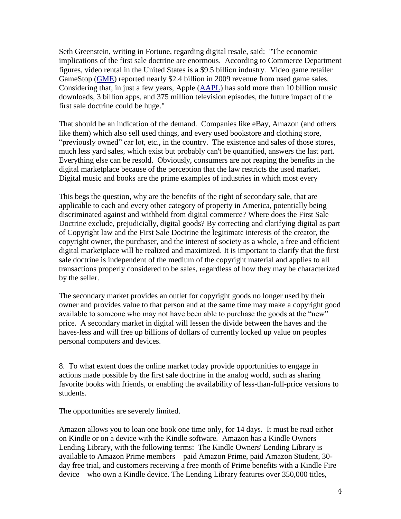Seth Greenstein, writing in Fortune, regarding digital resale, said: "The economic implications of the first sale doctrine are enormous. According to Commerce Department figures, video rental in the United States is a \$9.5 billion industry. Video game retailer GameStop [\(GME\)](http://money.cnn.com/quote/quote.html?symb=GME) reported nearly \$2.4 billion in 2009 revenue from used game sales. Considering that, in just a few years, Apple [\(AAPL\)](http://money.cnn.com/quote/quote.html?symb=AAPL) has sold more than 10 billion music downloads, 3 billion apps, and 375 million television episodes, the future impact of the first sale doctrine could be huge."

That should be an indication of the demand. Companies like eBay, Amazon (and others like them) which also sell used things, and every used bookstore and clothing store, "previously owned" car lot, etc., in the country. The existence and sales of those stores, much less yard sales, which exist but probably can't be quantified, answers the last part. Everything else can be resold. Obviously, consumers are not reaping the benefits in the digital marketplace because of the perception that the law restricts the used market. Digital music and books are the prime examples of industries in which most every

This begs the question, why are the benefits of the right of secondary sale, that are applicable to each and every other category of property in America, potentially being discriminated against and withheld from digital commerce? Where does the First Sale Doctrine exclude, prejudicially, digital goods? By correcting and clarifying digital as part of Copyright law and the First Sale Doctrine the legitimate interests of the creator, the copyright owner, the purchaser, and the interest of society as a whole, a free and efficient digital marketplace will be realized and maximized. It is important to clarify that the first sale doctrine is independent of the medium of the copyright material and applies to all transactions properly considered to be sales, regardless of how they may be characterized by the seller.

The secondary market provides an outlet for copyright goods no longer used by their owner and provides value to that person and at the same time may make a copyright good available to someone who may not have been able to purchase the goods at the "new" price. A secondary market in digital will lessen the divide between the haves and the haves-less and will free up billions of dollars of currently locked up value on peoples personal computers and devices.

8. To what extent does the online market today provide opportunities to engage in actions made possible by the first sale doctrine in the analog world, such as sharing favorite books with friends, or enabling the availability of less-than-full-price versions to students.

The opportunities are severely limited.

Amazon allows you to loan one book one time only, for 14 days. It must be read either on Kindle or on a device with the Kindle software. Amazon has a Kindle Owners Lending Library, with the following terms: The Kindle Owners' Lending Library is available to Amazon Prime members—paid Amazon Prime, paid Amazon Student, 30 day free trial, and customers receiving a free month of Prime benefits with a Kindle Fire device—who own a Kindle device. The Lending Library features over 350,000 titles,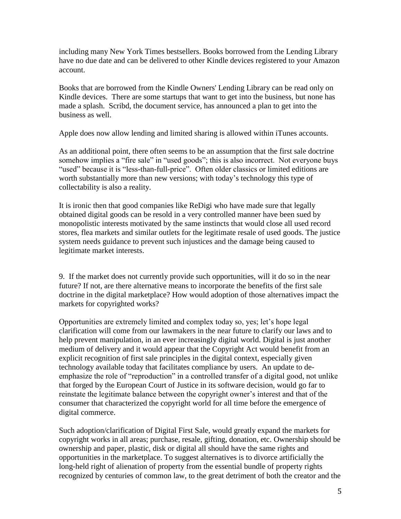including many New York Times bestsellers. Books borrowed from the Lending Library have no due date and can be delivered to other Kindle devices registered to your Amazon account.

Books that are borrowed from the Kindle Owners' Lending Library can be read only on Kindle devices. There are some startups that want to get into the business, but none has made a splash. Scribd, the document service, has announced a plan to get into the business as well.

Apple does now allow lending and limited sharing is allowed within iTunes accounts.

As an additional point, there often seems to be an assumption that the first sale doctrine somehow implies a "fire sale" in "used goods"; this is also incorrect. Not everyone buys "used" because it is "less-than-full-price". Often older classics or limited editions are worth substantially more than new versions; with today's technology this type of collectability is also a reality.

It is ironic then that good companies like ReDigi who have made sure that legally obtained digital goods can be resold in a very controlled manner have been sued by monopolistic interests motivated by the same instincts that would close all used record stores, flea markets and similar outlets for the legitimate resale of used goods. The justice system needs guidance to prevent such injustices and the damage being caused to legitimate market interests.

9. If the market does not currently provide such opportunities, will it do so in the near future? If not, are there alternative means to incorporate the benefits of the first sale doctrine in the digital marketplace? How would adoption of those alternatives impact the markets for copyrighted works?

Opportunities are extremely limited and complex today so, yes; let's hope legal clarification will come from our lawmakers in the near future to clarify our laws and to help prevent manipulation, in an ever increasingly digital world. Digital is just another medium of delivery and it would appear that the Copyright Act would benefit from an explicit recognition of first sale principles in the digital context, especially given technology available today that facilitates compliance by users. An update to deemphasize the role of "reproduction" in a controlled transfer of a digital good, not unlike that forged by the European Court of Justice in its software decision, would go far to reinstate the legitimate balance between the copyright owner's interest and that of the consumer that characterized the copyright world for all time before the emergence of digital commerce.

Such adoption/clarification of Digital First Sale, would greatly expand the markets for copyright works in all areas; purchase, resale, gifting, donation, etc. Ownership should be ownership and paper, plastic, disk or digital all should have the same rights and opportunities in the marketplace. To suggest alternatives is to divorce artificially the long-held right of alienation of property from the essential bundle of property rights recognized by centuries of common law, to the great detriment of both the creator and the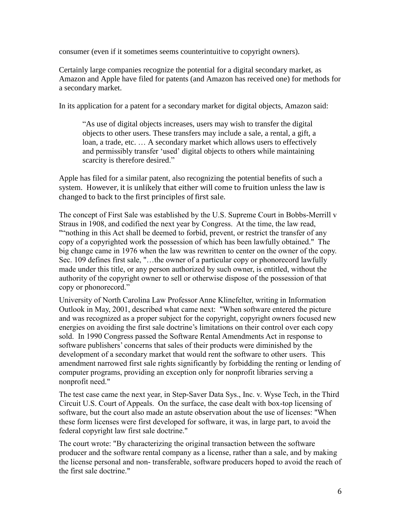consumer (even if it sometimes seems counterintuitive to copyright owners).

Certainly large companies recognize the potential for a digital secondary market, as Amazon and Apple have filed for patents (and Amazon has received one) for methods for a secondary market.

In its application for a patent for a secondary market for digital objects, Amazon said:

"As use of digital objects increases, users may wish to transfer the digital objects to other users. These transfers may include a sale, a rental, a gift, a loan, a trade, etc. … A secondary market which allows users to effectively and permissibly transfer 'used' digital objects to others while maintaining scarcity is therefore desired."

Apple has filed for a similar patent, also recognizing the potential benefits of such a system. However, it is unlikely that either will come to fruition unless the law is changed to back to the first principles of first sale.

The concept of First Sale was established by the U.S. Supreme Court in Bobbs-Merrill v Straus in 1908, and codified the next year by Congress. At the time, the law read, ""nothing in this Act shall be deemed to forbid, prevent, or restrict the transfer of any copy of a copyrighted work the possession of which has been lawfully obtained." The big change came in 1976 when the law was rewritten to center on the owner of the copy. Sec. 109 defines first sale, "…the owner of a particular copy or phonorecord lawfully made under this title, or any person authorized by such owner, is entitled, without the authority of the copyright owner to sell or otherwise dispose of the possession of that copy or phonorecord."

University of North Carolina Law Professor Anne Klinefelter, writing in Information Outlook in May, 2001, described what came next: "When software entered the picture and was recognized as a proper subject for the copyright, copyright owners focused new energies on avoiding the first sale doctrine's limitations on their control over each copy sold. In 1990 Congress passed the Software Rental Amendments Act in response to software publishers' concerns that sales of their products were diminished by the development of a secondary market that would rent the software to other users. This amendment narrowed first sale rights significantly by forbidding the renting or lending of computer programs, providing an exception only for nonprofit libraries serving a nonprofit need."

The test case came the next year, in Step-Saver Data Sys., Inc. v. Wyse Tech, in the Third Circuit U.S. Court of Appeals. On the surface, the case dealt with box-top licensing of software, but the court also made an astute observation about the use of licenses: "When these form licenses were first developed for software, it was, in large part, to avoid the federal copyright law first sale doctrine."

The court wrote: "By characterizing the original transaction between the software producer and the software rental company as a license, rather than a sale, and by making the license personal and non- transferable, software producers hoped to avoid the reach of the first sale doctrine."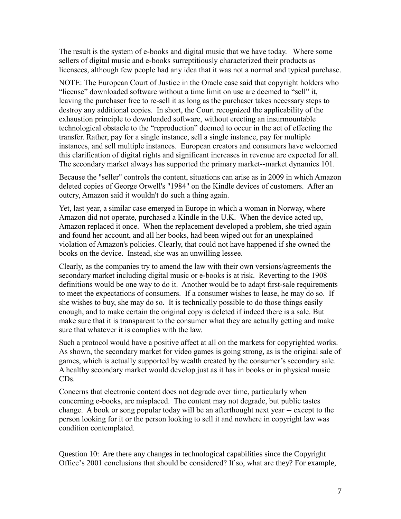The result is the system of e-books and digital music that we have today. Where some sellers of digital music and e-books surreptitiously characterized their products as licensees, although few people had any idea that it was not a normal and typical purchase.

NOTE: The European Court of Justice in the Oracle case said that copyright holders who "license" downloaded software without a time limit on use are deemed to "sell" it, leaving the purchaser free to re-sell it as long as the purchaser takes necessary steps to destroy any additional copies. In short, the Court recognized the applicability of the exhaustion principle to downloaded software, without erecting an insurmountable technological obstacle to the "reproduction" deemed to occur in the act of effecting the transfer. Rather, pay for a single instance, sell a single instance, pay for multiple instances, and sell multiple instances. European creators and consumers have welcomed this clarification of digital rights and significant increases in revenue are expected for all. The secondary market always has supported the primary market--market dynamics 101.

Because the "seller" controls the content, situations can arise as in 2009 in which Amazon deleted copies of George Orwell's "1984" on the Kindle devices of customers. After an outcry, Amazon said it wouldn't do such a thing again.

Yet, last year, a similar case emerged in Europe in which a woman in Norway, where Amazon did not operate, purchased a Kindle in the U.K. When the device acted up, Amazon replaced it once. When the replacement developed a problem, she tried again and found her account, and all her books, had been wiped out for an unexplained violation of Amazon's policies. Clearly, that could not have happened if she owned the books on the device. Instead, she was an unwilling lessee.

Clearly, as the companies try to amend the law with their own versions/agreements the secondary market including digital music or e-books is at risk. Reverting to the 1908 definitions would be one way to do it. Another would be to adapt first-sale requirements to meet the expectations of consumers. If a consumer wishes to lease, he may do so. If she wishes to buy, she may do so. It is technically possible to do those things easily enough, and to make certain the original copy is deleted if indeed there is a sale. But make sure that it is transparent to the consumer what they are actually getting and make sure that whatever it is complies with the law.

Such a protocol would have a positive affect at all on the markets for copyrighted works. As shown, the secondary market for video games is going strong, as is the original sale of games, which is actually supported by wealth created by the consumer's secondary sale. A healthy secondary market would develop just as it has in books or in physical music CDs.

Concerns that electronic content does not degrade over time, particularly when concerning e-books, are misplaced. The content may not degrade, but public tastes change. A book or song popular today will be an afterthought next year -- except to the person looking for it or the person looking to sell it and nowhere in copyright law was condition contemplated.

Question 10: Are there any changes in technological capabilities since the Copyright Office's 2001 conclusions that should be considered? If so, what are they? For example,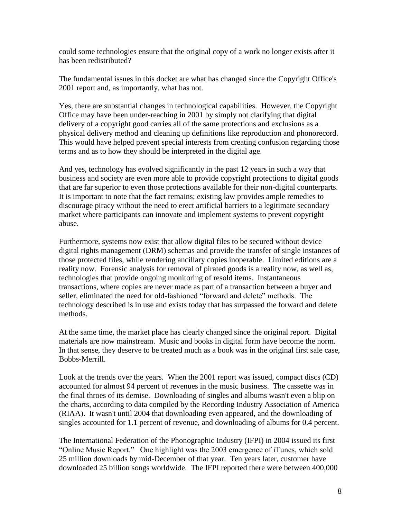could some technologies ensure that the original copy of a work no longer exists after it has been redistributed?

The fundamental issues in this docket are what has changed since the Copyright Office's 2001 report and, as importantly, what has not.

Yes, there are substantial changes in technological capabilities. However, the Copyright Office may have been under-reaching in 2001 by simply not clarifying that digital delivery of a copyright good carries all of the same protections and exclusions as a physical delivery method and cleaning up definitions like reproduction and phonorecord. This would have helped prevent special interests from creating confusion regarding those terms and as to how they should be interpreted in the digital age.

And yes, technology has evolved significantly in the past 12 years in such a way that business and society are even more able to provide copyright protections to digital goods that are far superior to even those protections available for their non-digital counterparts. It is important to note that the fact remains; existing law provides ample remedies to discourage piracy without the need to erect artificial barriers to a legitimate secondary market where participants can innovate and implement systems to prevent copyright abuse.

Furthermore, systems now exist that allow digital files to be secured without device digital rights management (DRM) schemas and provide the transfer of single instances of those protected files, while rendering ancillary copies inoperable. Limited editions are a reality now. Forensic analysis for removal of pirated goods is a reality now, as well as, technologies that provide ongoing monitoring of resold items. Instantaneous transactions, where copies are never made as part of a transaction between a buyer and seller, eliminated the need for old-fashioned "forward and delete" methods. The technology described is in use and exists today that has surpassed the forward and delete methods.

At the same time, the market place has clearly changed since the original report. Digital materials are now mainstream. Music and books in digital form have become the norm. In that sense, they deserve to be treated much as a book was in the original first sale case, Bobbs-Merrill.

Look at the trends over the years. When the 2001 report was issued, compact discs (CD) accounted for almost 94 percent of revenues in the music business. The cassette was in the final throes of its demise. Downloading of singles and albums wasn't even a blip on the charts, according to data compiled by the Recording Industry Association of America (RIAA). It wasn't until 2004 that downloading even appeared, and the downloading of singles accounted for 1.1 percent of revenue, and downloading of albums for 0.4 percent.

The International Federation of the Phonographic Industry (IFPI) in 2004 issued its first "Online Music Report." One highlight was the 2003 emergence of iTunes, which sold 25 million downloads by mid-December of that year. Ten years later, customer have downloaded 25 billion songs worldwide. The IFPI reported there were between 400,000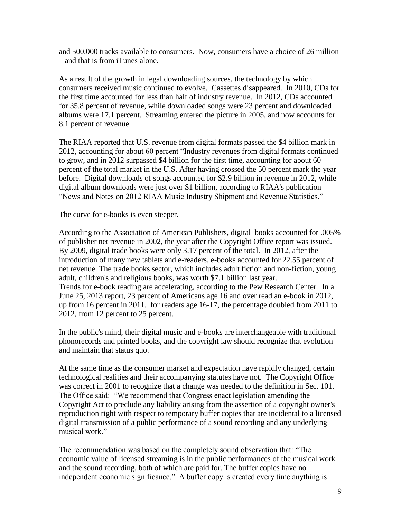and 500,000 tracks available to consumers. Now, consumers have a choice of 26 million – and that is from iTunes alone.

As a result of the growth in legal downloading sources, the technology by which consumers received music continued to evolve. Cassettes disappeared. In 2010, CDs for the first time accounted for less than half of industry revenue. In 2012, CDs accounted for 35.8 percent of revenue, while downloaded songs were 23 percent and downloaded albums were 17.1 percent. Streaming entered the picture in 2005, and now accounts for 8.1 percent of revenue.

The RIAA reported that U.S. revenue from digital formats passed the \$4 billion mark in 2012, accounting for about 60 percent "Industry revenues from digital formats continued to grow, and in 2012 surpassed \$4 billion for the first time, accounting for about 60 percent of the total market in the U.S. After having crossed the 50 percent mark the year before. Digital downloads of songs accounted for \$2.9 billion in revenue in 2012, while digital album downloads were just over \$1 billion, according to RIAA's publication "News and Notes on 2012 RIAA Music Industry Shipment and Revenue Statistics."

The curve for e-books is even steeper.

According to the Association of American Publishers, digital books accounted for .005% of publisher net revenue in 2002, the year after the Copyright Office report was issued. By 2009, digital trade books were only 3.17 percent of the total. In 2012, after the introduction of many new tablets and e-readers, e-books accounted for 22.55 percent of net revenue. The trade books sector, which includes adult fiction and non-fiction, young adult, children's and religious books, was worth \$7.1 billion last year. Trends for e-book reading are accelerating, according to the Pew Research Center. In a June 25, 2013 report, 23 percent of Americans age 16 and over read an e-book in 2012, up from 16 percent in 2011. for readers age 16-17, the percentage doubled from 2011 to 2012, from 12 percent to 25 percent.

In the public's mind, their digital music and e-books are interchangeable with traditional phonorecords and printed books, and the copyright law should recognize that evolution and maintain that status quo.

At the same time as the consumer market and expectation have rapidly changed, certain technological realities and their accompanying statutes have not. The Copyright Office was correct in 2001 to recognize that a change was needed to the definition in Sec. 101. The Office said: "We recommend that Congress enact legislation amending the Copyright Act to preclude any liability arising from the assertion of a copyright owner's reproduction right with respect to temporary buffer copies that are incidental to a licensed digital transmission of a public performance of a sound recording and any underlying musical work"

The recommendation was based on the completely sound observation that: "The economic value of licensed streaming is in the public performances of the musical work and the sound recording, both of which are paid for. The buffer copies have no independent economic significance." A buffer copy is created every time anything is